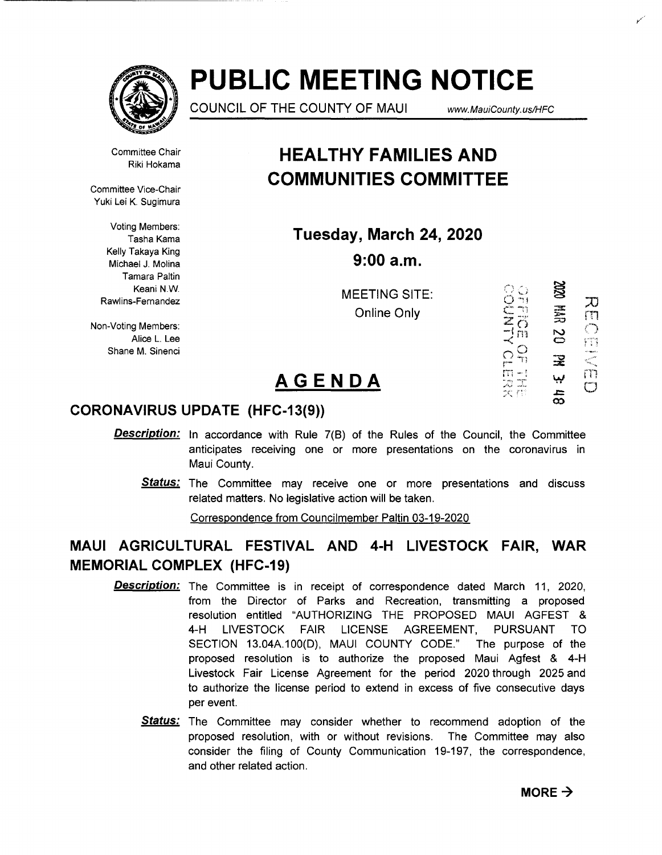

# **PUBLIC MEETING NOTICE**

COUNCIL OF THE COUNTY OF MAUl *www.* MauiCounty. us!HFC

Committee Chair Riki Hokama

Committee Vice-Chair Yuki Lei K. Sugimura

> Voting Members: Tasha Kama Kelly Takaya King Michael J. Molina Tamara Paltin Keani N.W. Rawlins-Fernandez

Non-Voting Members: Alice L. Lee Shane M. Sinenci

# **HEAL THY FAMILIES AND COMMUNITIES COMMITTEE**

**Tuesday, March 24, 2020 9:00a.m.** 

> MEETING SITE: Online Only

**XXX**  $\overline{\mathcal{X}}$ 芸<br>35 rn  $\frac{1}{2}$  $\tilde{c}$  $\ddot{\mathbf{z}}$ m ببا က်<br>တ

 $\frac{1}{\sqrt{2}}$   $\frac{1}{\sqrt{2}}$ 

## **AGENDA**

### **CORONAVIRUS UPDATE (HFC-13(9))**

- **Description:** In accordance with Rule 7(B) of the Rules of the Council, the Committee anticipates receiving one or more presentations on the coronavirus in Maui County.
	- **Status:** The Committee may receive one or more presentations and discuss related matters. No legislative action will be taken.

Correspondence from Councilmember Paltin 03-19-2020

## **MAUl AGRICULTURAL FESTIVAL AND 4-H LIVESTOCK FAIR, WAR MEMORIAL COMPLEX (HFC-19)**

- Description: The Committee is in receipt of correspondence dated March 11, 2020, from the Director of Parks and Recreation, transmitting a proposed resolution entitled "AUTHORIZING THE PROPOSED MAUl AGFEST & 4-H LIVESTOCK FAIR LICENSE AGREEMENT, PURSUANT TO SECTION 13.04A.100(D), MAUl COUNTY CODE." The purpose of the proposed resolution is to authorize the proposed Maui Agfest & 4-H Livestock Fair License Agreement for the period 2020 through 2025 and to authorize the license period to extend in excess of five consecutive days per event.
	- Status: The Committee may consider whether to recommend adoption of the proposed resolution, with or without revisions. The Committee may also consider the filing of County Communication 19-197, the correspondence, and other related action.